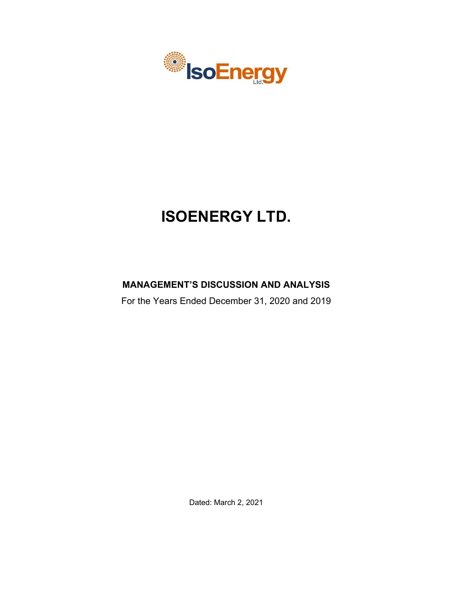

# **ISOENERGY LTD.**

# **MANAGEMENT'S DISCUSSION AND ANALYSIS**

For the Years Ended December 31, 2020 and 2019

Dated: March 2, 2021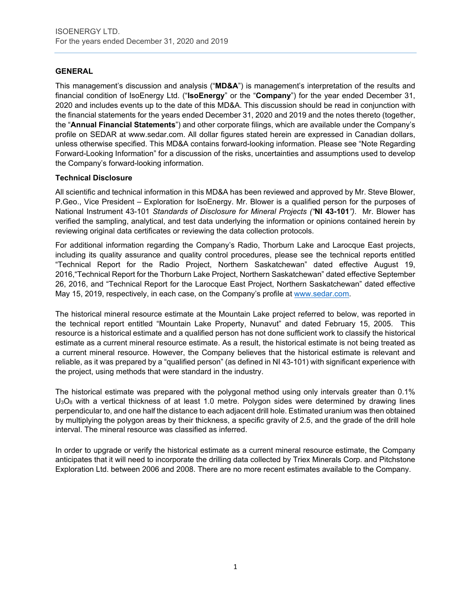# **GENERAL**

This management's discussion and analysis ("**MD&A**") is management's interpretation of the results and financial condition of IsoEnergy Ltd. ("**IsoEnergy**" or the "**Company**") for the year ended December 31, 2020 and includes events up to the date of this MD&A. This discussion should be read in conjunction with the financial statements for the years ended December 31, 2020 and 2019 and the notes thereto (together, the "**Annual Financial Statements**") and other corporate filings, which are available under the Company's profile on SEDAR at www.sedar.com. All dollar figures stated herein are expressed in Canadian dollars, unless otherwise specified. This MD&A contains forward-looking information. Please see "Note Regarding Forward-Looking Information" for a discussion of the risks, uncertainties and assumptions used to develop the Company's forward-looking information.

# **Technical Disclosure**

All scientific and technical information in this MD&A has been reviewed and approved by Mr. Steve Blower, P.Geo., Vice President – Exploration for IsoEnergy. Mr. Blower is a qualified person for the purposes of National Instrument 43-101 *Standards of Disclosure for Mineral Projects ("***NI 43-101***")*. Mr. Blower has verified the sampling, analytical, and test data underlying the information or opinions contained herein by reviewing original data certificates or reviewing the data collection protocols.

For additional information regarding the Company's Radio, Thorburn Lake and Larocque East projects, including its quality assurance and quality control procedures, please see the technical reports entitled "Technical Report for the Radio Project, Northern Saskatchewan" dated effective August 19, 2016,"Technical Report for the Thorburn Lake Project, Northern Saskatchewan" dated effective September 26, 2016, and "Technical Report for the Larocque East Project, Northern Saskatchewan" dated effective May 15, 2019, respectively, in each case, on the Company's profile at [www.sedar.com.](http://www.sedar.com/)

The historical mineral resource estimate at the Mountain Lake project referred to below, was reported in the technical report entitled "Mountain Lake Property, Nunavut" and dated February 15, 2005. This resource is a historical estimate and a qualified person has not done sufficient work to classify the historical estimate as a current mineral resource estimate. As a result, the historical estimate is not being treated as a current mineral resource. However, the Company believes that the historical estimate is relevant and reliable, as it was prepared by a "qualified person" (as defined in NI 43-101) with significant experience with the project, using methods that were standard in the industry.

The historical estimate was prepared with the polygonal method using only intervals greater than 0.1%  $U_3O_8$  with a vertical thickness of at least 1.0 metre. Polygon sides were determined by drawing lines perpendicular to, and one half the distance to each adjacent drill hole. Estimated uranium was then obtained by multiplying the polygon areas by their thickness, a specific gravity of 2.5, and the grade of the drill hole interval. The mineral resource was classified as inferred.

In order to upgrade or verify the historical estimate as a current mineral resource estimate, the Company anticipates that it will need to incorporate the drilling data collected by Triex Minerals Corp. and Pitchstone Exploration Ltd. between 2006 and 2008. There are no more recent estimates available to the Company.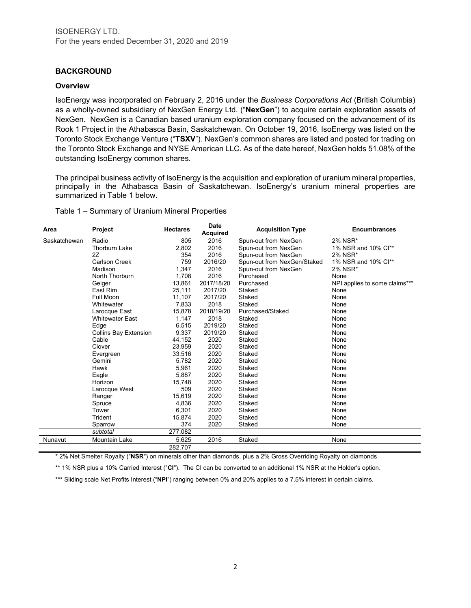# **BACKGROUND**

#### **Overview**

IsoEnergy was incorporated on February 2, 2016 under the *Business Corporations Act* (British Columbia) as a wholly-owned subsidiary of NexGen Energy Ltd. ("**NexGen**") to acquire certain exploration assets of NexGen. NexGen is a Canadian based uranium exploration company focused on the advancement of its Rook 1 Project in the Athabasca Basin, Saskatchewan. On October 19, 2016, IsoEnergy was listed on the Toronto Stock Exchange Venture ("**TSXV**"). NexGen's common shares are listed and posted for trading on the Toronto Stock Exchange and NYSE American LLC. As of the date hereof, NexGen holds 51.08% of the outstanding IsoEnergy common shares.

The principal business activity of IsoEnergy is the acquisition and exploration of uranium mineral properties, principally in the Athabasca Basin of Saskatchewan. IsoEnergy's uranium mineral properties are summarized in Table 1 below.

Table 1 – Summary of Uranium Mineral Properties

| Area         | <b>Project</b>               | <b>Hectares</b> | <b>Date</b><br><b>Acquired</b> | <b>Acquisition Type</b>     | <b>Encumbrances</b>           |
|--------------|------------------------------|-----------------|--------------------------------|-----------------------------|-------------------------------|
| Saskatchewan | Radio                        | 805             | 2016                           | Spun-out from NexGen        | 2% NSR*                       |
|              | <b>Thorburn Lake</b>         | 2,802           | 2016                           | Spun-out from NexGen        | 1% NSR and 10% Cl**           |
|              | 2Z                           | 354             | 2016                           | Spun-out from NexGen        | 2% NSR*                       |
|              | <b>Carlson Creek</b>         | 759             | 2016/20                        | Spun-out from NexGen/Staked | 1% NSR and 10% Cl**           |
|              | Madison                      | 1,347           | 2016                           | Spun-out from NexGen        | 2% NSR*                       |
|              | North Thorburn               | 1.708           | 2016                           | Purchased                   | None                          |
|              | Geiger                       | 13,861          | 2017/18/20                     | Purchased                   | NPI applies to some claims*** |
|              | East Rim                     | 25,111          | 2017/20                        | Staked                      | None                          |
|              | <b>Full Moon</b>             | 11.107          | 2017/20                        | Staked                      | None                          |
|              | Whitewater                   | 7,833           | 2018                           | Staked                      | None                          |
|              | Larocque East                | 15,878          | 2018/19/20                     | Purchased/Staked            | None                          |
|              | <b>Whitewater East</b>       | 1.147           | 2018                           | Staked                      | None                          |
|              | Edge                         | 6.515           | 2019/20                        | Staked                      | None                          |
|              | <b>Collins Bay Extension</b> | 9,337           | 2019/20                        | Staked                      | None                          |
|              | Cable                        | 44,152          | 2020                           | Staked                      | None                          |
|              | Clover                       | 23,959          | 2020                           | Staked                      | None                          |
|              | Evergreen                    | 33,516          | 2020                           | Staked                      | None                          |
|              | Gemini                       | 5,782           | 2020                           | Staked                      | None                          |
|              | Hawk                         | 5,961           | 2020                           | Staked                      | None                          |
|              | Eagle                        | 5,887           | 2020                           | Staked                      | None                          |
|              | Horizon                      | 15,748          | 2020                           | Staked                      | None                          |
|              | Larocque West                | 509             | 2020                           | Staked                      | None                          |
|              | Ranger                       | 15,619          | 2020                           | Staked                      | None                          |
|              | Spruce                       | 4,836           | 2020                           | Staked                      | None                          |
|              | Tower                        | 6,301           | 2020                           | Staked                      | None                          |
|              | Trident                      | 15,874          | 2020                           | Staked                      | None                          |
|              | Sparrow                      | 374             | 2020                           | Staked                      | None                          |
|              | subtotal                     | 277,082         |                                |                             |                               |
| Nunavut      | Mountain Lake                | 5,625           | 2016                           | Staked                      | None                          |
|              |                              | 282,707         |                                |                             |                               |

\* 2% Net Smelter Royalty ("**NSR**") on minerals other than diamonds, plus a 2% Gross Overriding Royalty on diamonds

\*\* 1% NSR plus a 10% Carried Interest ("**CI**"). The CI can be converted to an additional 1% NSR at the Holder's option.

\*\*\* Sliding scale Net Profits Interest ("NPI") ranging between 0% and 20% applies to a 7.5% interest in certain claims.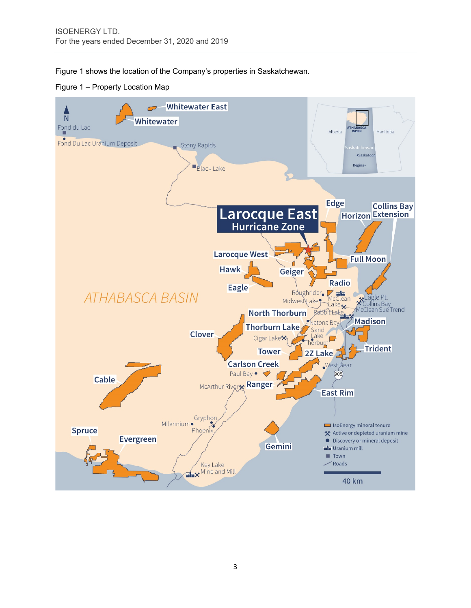Figure 1 shows the location of the Company's properties in Saskatchewan.

Figure 1 – Property Location Map

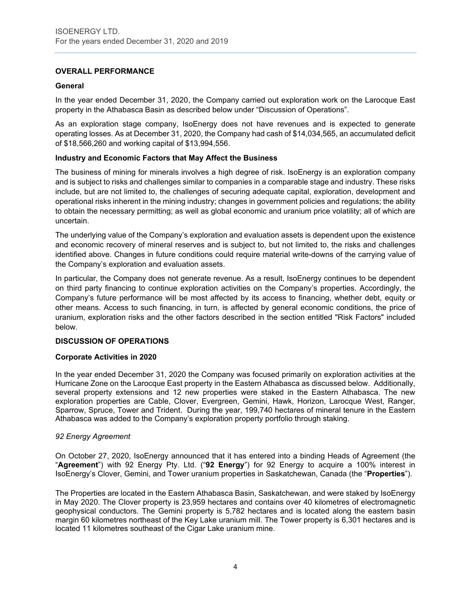# **OVERALL PERFORMANCE**

# **General**

In the year ended December 31, 2020, the Company carried out exploration work on the Larocque East property in the Athabasca Basin as described below under "Discussion of Operations".

As an exploration stage company, IsoEnergy does not have revenues and is expected to generate operating losses. As at December 31, 2020, the Company had cash of \$14,034,565, an accumulated deficit of \$18,566,260 and working capital of \$13,994,556.

#### **Industry and Economic Factors that May Affect the Business**

The business of mining for minerals involves a high degree of risk. IsoEnergy is an exploration company and is subject to risks and challenges similar to companies in a comparable stage and industry. These risks include, but are not limited to, the challenges of securing adequate capital, exploration, development and operational risks inherent in the mining industry; changes in government policies and regulations; the ability to obtain the necessary permitting; as well as global economic and uranium price volatility; all of which are uncertain.

The underlying value of the Company's exploration and evaluation assets is dependent upon the existence and economic recovery of mineral reserves and is subject to, but not limited to, the risks and challenges identified above. Changes in future conditions could require material write-downs of the carrying value of the Company's exploration and evaluation assets.

In particular, the Company does not generate revenue. As a result, IsoEnergy continues to be dependent on third party financing to continue exploration activities on the Company's properties. Accordingly, the Company's future performance will be most affected by its access to financing, whether debt, equity or other means. Access to such financing, in turn, is affected by general economic conditions, the price of uranium, exploration risks and the other factors described in the section entitled "Risk Factors" included below.

#### **DISCUSSION OF OPERATIONS**

#### **Corporate Activities in 2020**

In the year ended December 31, 2020 the Company was focused primarily on exploration activities at the Hurricane Zone on the Larocque East property in the Eastern Athabasca as discussed below. Additionally, several property extensions and 12 new properties were staked in the Eastern Athabasca. The new exploration properties are Cable, Clover, Evergreen, Gemini, Hawk, Horizon, Larocque West, Ranger, Sparrow, Spruce, Tower and Trident. During the year, 199,740 hectares of mineral tenure in the Eastern Athabasca was added to the Company's exploration property portfolio through staking.

#### *92 Energy Agreement*

On October 27, 2020, IsoEnergy announced that it has entered into a binding Heads of Agreement (the "**Agreement**") with 92 Energy Pty. Ltd. ("**92 Energy**") for 92 Energy to acquire a 100% interest in IsoEnergy's Clover, Gemini, and Tower uranium properties in Saskatchewan, Canada (the "**Properties**").

The Properties are located in the Eastern Athabasca Basin, Saskatchewan, and were staked by IsoEnergy in May 2020. The Clover property is 23,959 hectares and contains over 40 kilometres of electromagnetic geophysical conductors. The Gemini property is 5,782 hectares and is located along the eastern basin margin 60 kilometres northeast of the Key Lake uranium mill. The Tower property is 6,301 hectares and is located 11 kilometres southeast of the Cigar Lake uranium mine.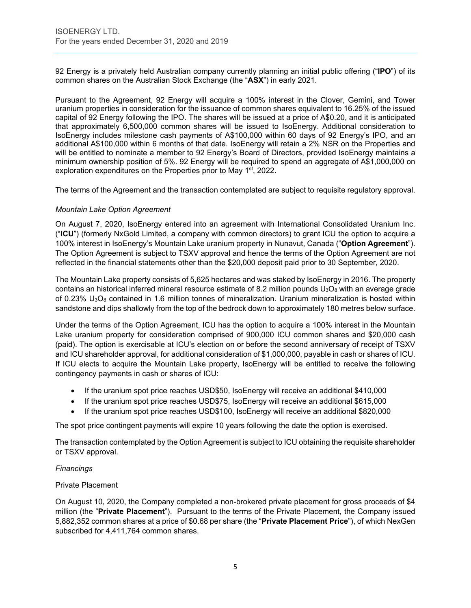92 Energy is a privately held Australian company currently planning an initial public offering ("**IPO**") of its common shares on the Australian Stock Exchange (the "**ASX**") in early 2021.

Pursuant to the Agreement, 92 Energy will acquire a 100% interest in the Clover, Gemini, and Tower uranium properties in consideration for the issuance of common shares equivalent to 16.25% of the issued capital of 92 Energy following the IPO. The shares will be issued at a price of A\$0.20, and it is anticipated that approximately 6,500,000 common shares will be issued to IsoEnergy. Additional consideration to IsoEnergy includes milestone cash payments of A\$100,000 within 60 days of 92 Energy's IPO, and an additional A\$100,000 within 6 months of that date. IsoEnergy will retain a 2% NSR on the Properties and will be entitled to nominate a member to 92 Energy's Board of Directors, provided IsoEnergy maintains a minimum ownership position of 5%. 92 Energy will be required to spend an aggregate of A\$1,000,000 on exploration expenditures on the Properties prior to May 1<sup>st</sup>, 2022.

The terms of the Agreement and the transaction contemplated are subject to requisite regulatory approval.

#### *Mountain Lake Option Agreement*

On August 7, 2020, IsoEnergy entered into an agreement with International Consolidated Uranium Inc. ("**ICU**") (formerly NxGold Limited, a company with common directors) to grant ICU the option to acquire a 100% interest in IsoEnergy's Mountain Lake uranium property in Nunavut, Canada ("**Option Agreement**"). The Option Agreement is subject to TSXV approval and hence the terms of the Option Agreement are not reflected in the financial statements other than the \$20,000 deposit paid prior to 30 September, 2020.

The Mountain Lake property consists of 5,625 hectares and was staked by IsoEnergy in 2016. The property contains an historical inferred mineral resource estimate of 8.2 million pounds  $U_3O_8$  with an average grade of 0.23%  $U_3O_8$  contained in 1.6 million tonnes of mineralization. Uranium mineralization is hosted within sandstone and dips shallowly from the top of the bedrock down to approximately 180 metres below surface.

Under the terms of the Option Agreement, ICU has the option to acquire a 100% interest in the Mountain Lake uranium property for consideration comprised of 900,000 ICU common shares and \$20,000 cash (paid). The option is exercisable at ICU's election on or before the second anniversary of receipt of TSXV and ICU shareholder approval, for additional consideration of \$1,000,000, payable in cash or shares of ICU. If ICU elects to acquire the Mountain Lake property, IsoEnergy will be entitled to receive the following contingency payments in cash or shares of ICU:

- If the uranium spot price reaches USD\$50, IsoEnergy will receive an additional \$410,000
- If the uranium spot price reaches USD\$75, IsoEnergy will receive an additional \$615,000
- If the uranium spot price reaches USD\$100, IsoEnergy will receive an additional \$820,000

The spot price contingent payments will expire 10 years following the date the option is exercised.

The transaction contemplated by the Option Agreement is subject to ICU obtaining the requisite shareholder or TSXV approval.

#### *Financings*

# Private Placement

On August 10, 2020, the Company completed a non-brokered private placement for gross proceeds of \$4 million (the "**Private Placement**"). Pursuant to the terms of the Private Placement, the Company issued 5,882,352 common shares at a price of \$0.68 per share (the "**Private Placement Price**"), of which NexGen subscribed for 4,411,764 common shares.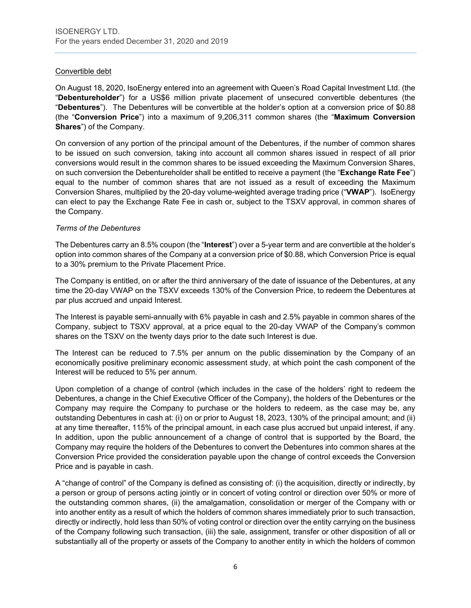# Convertible debt

On August 18, 2020, IsoEnergy entered into an agreement with Queen's Road Capital Investment Ltd. (the "**Debentureholder**") for a US\$6 million private placement of unsecured convertible debentures (the "**Debentures**"). The Debentures will be convertible at the holder's option at a conversion price of \$0.88 (the "**Conversion Price**") into a maximum of 9,206,311 common shares (the "**Maximum Conversion Shares**") of the Company.

On conversion of any portion of the principal amount of the Debentures, if the number of common shares to be issued on such conversion, taking into account all common shares issued in respect of all prior conversions would result in the common shares to be issued exceeding the Maximum Conversion Shares, on such conversion the Debentureholder shall be entitled to receive a payment (the "**Exchange Rate Fee**") equal to the number of common shares that are not issued as a result of exceeding the Maximum Conversion Shares, multiplied by the 20-day volume-weighted average trading price ("**VWAP**"). IsoEnergy can elect to pay the Exchange Rate Fee in cash or, subject to the TSXV approval, in common shares of the Company.

# *Terms of the Debentures*

The Debentures carry an 8.5% coupon (the "**Interest**") over a 5-year term and are convertible at the holder's option into common shares of the Company at a conversion price of \$0.88, which Conversion Price is equal to a 30% premium to the Private Placement Price.

The Company is entitled, on or after the third anniversary of the date of issuance of the Debentures, at any time the 20-day VWAP on the TSXV exceeds 130% of the Conversion Price, to redeem the Debentures at par plus accrued and unpaid Interest.

The Interest is payable semi-annually with 6% payable in cash and 2.5% payable in common shares of the Company, subject to TSXV approval, at a price equal to the 20-day VWAP of the Company's common shares on the TSXV on the twenty days prior to the date such Interest is due.

The Interest can be reduced to 7.5% per annum on the public dissemination by the Company of an economically positive preliminary economic assessment study, at which point the cash component of the Interest will be reduced to 5% per annum.

Upon completion of a change of control (which includes in the case of the holders' right to redeem the Debentures, a change in the Chief Executive Officer of the Company), the holders of the Debentures or the Company may require the Company to purchase or the holders to redeem, as the case may be, any outstanding Debentures in cash at: (i) on or prior to August 18, 2023, 130% of the principal amount; and (ii) at any time thereafter, 115% of the principal amount, in each case plus accrued but unpaid interest, if any. In addition, upon the public announcement of a change of control that is supported by the Board, the Company may require the holders of the Debentures to convert the Debentures into common shares at the Conversion Price provided the consideration payable upon the change of control exceeds the Conversion Price and is payable in cash.

A "change of control" of the Company is defined as consisting of: (i) the acquisition, directly or indirectly, by a person or group of persons acting jointly or in concert of voting control or direction over 50% or more of the outstanding common shares, (ii) the amalgamation, consolidation or merger of the Company with or into another entity as a result of which the holders of common shares immediately prior to such transaction, directly or indirectly, hold less than 50% of voting control or direction over the entity carrying on the business of the Company following such transaction, (iii) the sale, assignment, transfer or other disposition of all or substantially all of the property or assets of the Company to another entity in which the holders of common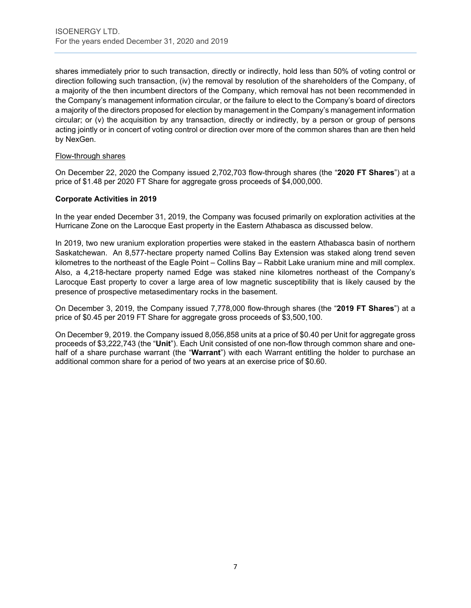shares immediately prior to such transaction, directly or indirectly, hold less than 50% of voting control or direction following such transaction, (iv) the removal by resolution of the shareholders of the Company, of a majority of the then incumbent directors of the Company, which removal has not been recommended in the Company's management information circular, or the failure to elect to the Company's board of directors a majority of the directors proposed for election by management in the Company's management information circular; or (v) the acquisition by any transaction, directly or indirectly, by a person or group of persons acting jointly or in concert of voting control or direction over more of the common shares than are then held by NexGen.

# Flow-through shares

On December 22, 2020 the Company issued 2,702,703 flow-through shares (the "**2020 FT Shares**") at a price of \$1.48 per 2020 FT Share for aggregate gross proceeds of \$4,000,000.

#### **Corporate Activities in 2019**

In the year ended December 31, 2019, the Company was focused primarily on exploration activities at the Hurricane Zone on the Larocque East property in the Eastern Athabasca as discussed below.

In 2019, two new uranium exploration properties were staked in the eastern Athabasca basin of northern Saskatchewan. An 8,577-hectare property named Collins Bay Extension was staked along trend seven kilometres to the northeast of the Eagle Point – Collins Bay – Rabbit Lake uranium mine and mill complex. Also, a 4,218-hectare property named Edge was staked nine kilometres northeast of the Company's Larocque East property to cover a large area of low magnetic susceptibility that is likely caused by the presence of prospective metasedimentary rocks in the basement.

On December 3, 2019, the Company issued 7,778,000 flow-through shares (the "**2019 FT Shares**") at a price of \$0.45 per 2019 FT Share for aggregate gross proceeds of \$3,500,100.

On December 9, 2019. the Company issued 8,056,858 units at a price of \$0.40 per Unit for aggregate gross proceeds of \$3,222,743 (the "**Unit**"). Each Unit consisted of one non-flow through common share and onehalf of a share purchase warrant (the "**Warrant**") with each Warrant entitling the holder to purchase an additional common share for a period of two years at an exercise price of \$0.60.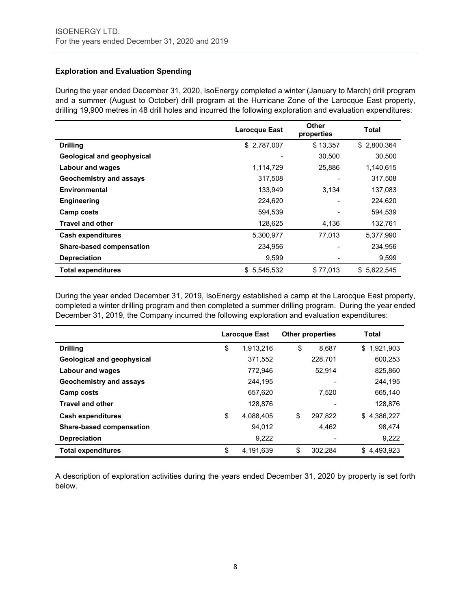# **Exploration and Evaluation Spending**

During the year ended December 31, 2020, IsoEnergy completed a winter (January to March) drill program and a summer (August to October) drill program at the Hurricane Zone of the Larocque East property, drilling 19,900 metres in 48 drill holes and incurred the following exploration and evaluation expenditures:

|                                 | <b>Larocque East</b> | <b>Other</b><br>properties | Total       |
|---------------------------------|----------------------|----------------------------|-------------|
| <b>Drilling</b>                 | \$2,787,007          | \$13,357                   | \$2,800,364 |
| Geological and geophysical      |                      | 30,500                     | 30.500      |
| <b>Labour and wages</b>         | 1,114,729            | 25,886                     | 1,140,615   |
| Geochemistry and assays         | 317,508              |                            | 317,508     |
| Environmental                   | 133,949              | 3,134                      | 137,083     |
| <b>Engineering</b>              | 224,620              |                            | 224,620     |
| Camp costs                      | 594,539              |                            | 594,539     |
| <b>Travel and other</b>         | 128,625              | 4,136                      | 132,761     |
| <b>Cash expenditures</b>        | 5,300,977            | 77,013                     | 5,377,990   |
| <b>Share-based compensation</b> | 234,956              |                            | 234,956     |
| <b>Depreciation</b>             | 9,599                |                            | 9,599       |
| <b>Total expenditures</b>       | 5,545,532<br>\$      | \$77,013                   | \$5,622,545 |

During the year ended December 31, 2019, IsoEnergy established a camp at the Larocque East property, completed a winter drilling program and then completed a summer drilling program. During the year ended December 31, 2019, the Company incurred the following exploration and evaluation expenditures:

|                            | Larocque East   | <b>Other properties</b> | Total           |
|----------------------------|-----------------|-------------------------|-----------------|
| <b>Drilling</b>            | \$<br>1,913,216 | \$<br>8,687             | 1,921,903<br>\$ |
| Geological and geophysical | 371,552         | 228.701                 | 600,253         |
| <b>Labour and wages</b>    | 772,946         | 52.914                  | 825,860         |
| Geochemistry and assays    | 244,195         |                         | 244,195         |
| Camp costs                 | 657,620         | 7,520                   | 665,140         |
| <b>Travel and other</b>    | 128,876         |                         | 128,876         |
| <b>Cash expenditures</b>   | \$<br>4,088,405 | \$<br>297.822           | 4,386,227<br>\$ |
| Share-based compensation   | 94,012          | 4,462                   | 98,474          |
| <b>Depreciation</b>        | 9,222           |                         | 9,222           |
| <b>Total expenditures</b>  | \$<br>4.191.639 | \$<br>302.284           | \$4.493.923     |

A description of exploration activities during the years ended December 31, 2020 by property is set forth below.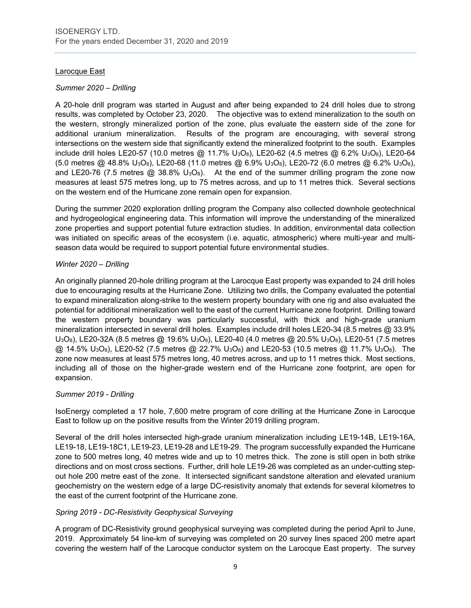# Larocque East

# *Summer 2020 – Drilling*

A 20-hole drill program was started in August and after being expanded to 24 drill holes due to strong results, was completed by October 23, 2020. The objective was to extend mineralization to the south on the western, strongly mineralized portion of the zone, plus evaluate the eastern side of the zone for additional uranium mineralization. Results of the program are encouraging, with several strong intersections on the western side that significantly extend the mineralized footprint to the south. Examples include drill holes LE20-57 (10.0 metres @ 11.7% U<sub>3</sub>O<sub>8</sub>), LE20-62 (4.5 metres @ 6.2% U<sub>3</sub>O<sub>8</sub>), LE20-64 (5.0 metres @ 48.8% U3O8), LE20-68 (11.0 metres @ 6.9% U3O8), LE20-72 (6.0 metres @ 6.2% U3O8), and LE20-76 (7.5 metres  $\textcircled{a}$  38.8% U<sub>3</sub>O<sub>8</sub>). At the end of the summer drilling program the zone now measures at least 575 metres long, up to 75 metres across, and up to 11 metres thick. Several sections on the western end of the Hurricane zone remain open for expansion.

During the summer 2020 exploration drilling program the Company also collected downhole geotechnical and hydrogeological engineering data. This information will improve the understanding of the mineralized zone properties and support potential future extraction studies. In addition, environmental data collection was initiated on specific areas of the ecosystem (i.e. aquatic, atmospheric) where multi-year and multiseason data would be required to support potential future environmental studies.

# *Winter 2020 – Drilling*

An originally planned 20-hole drilling program at the Larocque East property was expanded to 24 drill holes due to encouraging results at the Hurricane Zone. Utilizing two drills, the Company evaluated the potential to expand mineralization along-strike to the western property boundary with one rig and also evaluated the potential for additional mineralization well to the east of the current Hurricane zone footprint. Drilling toward the western property boundary was particularly successful, with thick and high-grade uranium mineralization intersected in several drill holes. Examples include drill holes LE20-34 (8.5 metres @ 33.9% U<sub>3</sub>O<sub>8</sub>), LE20-32A (8.5 metres @ 19.6% U<sub>3</sub>O<sub>8</sub>), LE20-40 (4.0 metres @ 20.5% U<sub>3</sub>O<sub>8</sub>), LE20-51 (7.5 metres  $@$  14.5% U<sub>3</sub>O<sub>8</sub>), LE20-52 (7.5 metres  $@$  22.7% U<sub>3</sub>O<sub>8</sub>) and LE20-53 (10.5 metres  $@$  11.7% U<sub>3</sub>O<sub>8</sub>). The zone now measures at least 575 metres long, 40 metres across, and up to 11 metres thick. Most sections, including all of those on the higher-grade western end of the Hurricane zone footprint, are open for expansion.

# *Summer 2019 - Drilling*

IsoEnergy completed a 17 hole, 7,600 metre program of core drilling at the Hurricane Zone in Larocque East to follow up on the positive results from the Winter 2019 drilling program.

Several of the drill holes intersected high-grade uranium mineralization including LE19-14B, LE19-16A, LE19-18, LE19-18C1, LE19-23, LE19-28 and LE19-29. The program successfully expanded the Hurricane zone to 500 metres long, 40 metres wide and up to 10 metres thick. The zone is still open in both strike directions and on most cross sections. Further, drill hole LE19-26 was completed as an under-cutting stepout hole 200 metre east of the zone. It intersected significant sandstone alteration and elevated uranium geochemistry on the western edge of a large DC-resistivity anomaly that extends for several kilometres to the east of the current footprint of the Hurricane zone.

# *Spring 2019 - DC-Resistivity Geophysical Surveying*

A program of DC-Resistivity ground geophysical surveying was completed during the period April to June, 2019. Approximately 54 line-km of surveying was completed on 20 survey lines spaced 200 metre apart covering the western half of the Larocque conductor system on the Larocque East property. The survey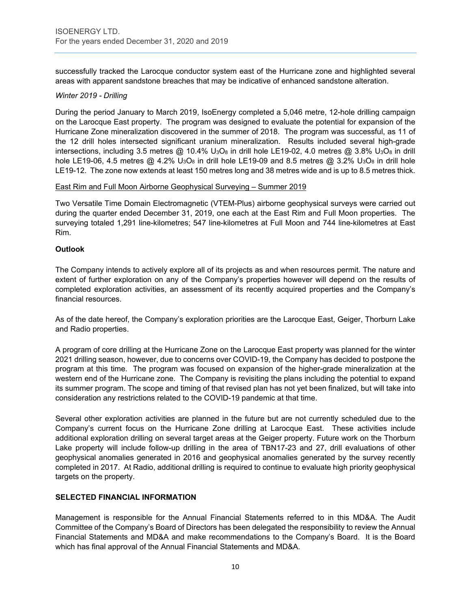successfully tracked the Larocque conductor system east of the Hurricane zone and highlighted several areas with apparent sandstone breaches that may be indicative of enhanced sandstone alteration.

#### *Winter 2019 - Drilling*

During the period January to March 2019, IsoEnergy completed a 5,046 metre, 12-hole drilling campaign on the Larocque East property. The program was designed to evaluate the potential for expansion of the Hurricane Zone mineralization discovered in the summer of 2018. The program was successful, as 11 of the 12 drill holes intersected significant uranium mineralization. Results included several high-grade intersections, including 3.5 metres  $@$  10.4% U<sub>3</sub>O<sub>8</sub> in drill hole LE19-02, 4.0 metres  $@$  3.8% U<sub>3</sub>O<sub>8</sub> in drill hole LE19-06, 4.5 metres  $@$  4.2% U<sub>3</sub>O<sub>8</sub> in drill hole LE19-09 and 8.5 metres  $@$  3.2% U<sub>3</sub>O<sub>8</sub> in drill hole LE19-12. The zone now extends at least 150 metres long and 38 metres wide and is up to 8.5 metres thick.

#### East Rim and Full Moon Airborne Geophysical Surveying – Summer 2019

Two Versatile Time Domain Electromagnetic (VTEM-Plus) airborne geophysical surveys were carried out during the quarter ended December 31, 2019, one each at the East Rim and Full Moon properties. The surveying totaled 1,291 line-kilometres; 547 line-kilometres at Full Moon and 744 line-kilometres at East Rim.

# **Outlook**

The Company intends to actively explore all of its projects as and when resources permit. The nature and extent of further exploration on any of the Company's properties however will depend on the results of completed exploration activities, an assessment of its recently acquired properties and the Company's financial resources.

As of the date hereof, the Company's exploration priorities are the Larocque East, Geiger, Thorburn Lake and Radio properties.

A program of core drilling at the Hurricane Zone on the Larocque East property was planned for the winter 2021 drilling season, however, due to concerns over COVID-19, the Company has decided to postpone the program at this time. The program was focused on expansion of the higher-grade mineralization at the western end of the Hurricane zone. The Company is revisiting the plans including the potential to expand its summer program. The scope and timing of that revised plan has not yet been finalized, but will take into consideration any restrictions related to the COVID-19 pandemic at that time.

Several other exploration activities are planned in the future but are not currently scheduled due to the Company's current focus on the Hurricane Zone drilling at Larocque East. These activities include additional exploration drilling on several target areas at the Geiger property. Future work on the Thorburn Lake property will include follow-up drilling in the area of TBN17-23 and 27, drill evaluations of other geophysical anomalies generated in 2016 and geophysical anomalies generated by the survey recently completed in 2017. At Radio, additional drilling is required to continue to evaluate high priority geophysical targets on the property.

# **SELECTED FINANCIAL INFORMATION**

Management is responsible for the Annual Financial Statements referred to in this MD&A. The Audit Committee of the Company's Board of Directors has been delegated the responsibility to review the Annual Financial Statements and MD&A and make recommendations to the Company's Board. It is the Board which has final approval of the Annual Financial Statements and MD&A.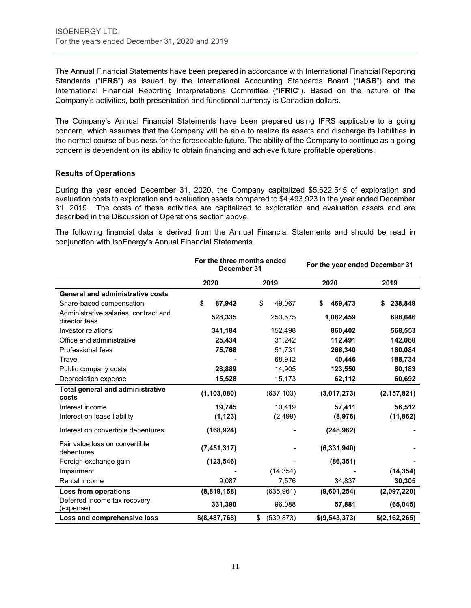The Annual Financial Statements have been prepared in accordance with International Financial Reporting Standards ("**IFRS**") as issued by the International Accounting Standards Board ("**IASB**") and the International Financial Reporting Interpretations Committee ("**IFRIC**"). Based on the nature of the Company's activities, both presentation and functional currency is Canadian dollars.

The Company's Annual Financial Statements have been prepared using IFRS applicable to a going concern, which assumes that the Company will be able to realize its assets and discharge its liabilities in the normal course of business for the foreseeable future. The ability of the Company to continue as a going concern is dependent on its ability to obtain financing and achieve future profitable operations.

#### **Results of Operations**

During the year ended December 31, 2020, the Company capitalized \$5,622,545 of exploration and evaluation costs to exploration and evaluation assets compared to \$4,493,923 in the year ended December 31, 2019. The costs of these activities are capitalized to exploration and evaluation assets and are described in the Discussion of Operations section above.

The following financial data is derived from the Annual Financial Statements and should be read in conjunction with IsoEnergy's Annual Financial Statements.

|                                                        | For the three months ended<br>December 31 |                  | For the year ended December 31 |               |
|--------------------------------------------------------|-------------------------------------------|------------------|--------------------------------|---------------|
|                                                        | 2020                                      | 2019             | 2020                           | 2019          |
| <b>General and administrative costs</b>                |                                           |                  |                                |               |
| Share-based compensation                               | \$<br>87,942                              | \$<br>49,067     | 469,473<br>\$                  | 238,849<br>\$ |
| Administrative salaries, contract and<br>director fees | 528,335                                   | 253,575          | 1,082,459                      | 698,646       |
| Investor relations                                     | 341,184                                   | 152,498          | 860,402                        | 568,553       |
| Office and administrative                              | 25,434                                    | 31,242           | 112,491                        | 142,080       |
| Professional fees                                      | 75,768                                    | 51,731           | 266,340                        | 180,084       |
| Travel                                                 |                                           | 68,912           | 40,446                         | 188,734       |
| Public company costs                                   | 28,889                                    | 14,905           | 123,550                        | 80,183        |
| Depreciation expense                                   | 15,528                                    | 15,173           | 62,112                         | 60,692        |
| <b>Total general and administrative</b><br>costs       | (1, 103, 080)                             | (637, 103)       | (3,017,273)                    | (2, 157, 821) |
| Interest income                                        | 19,745                                    | 10,419           | 57,411                         | 56,512        |
| Interest on lease liability                            | (1, 123)                                  | (2, 499)         | (8,976)                        | (11, 862)     |
| Interest on convertible debentures                     | (168, 924)                                |                  | (248, 962)                     |               |
| Fair value loss on convertible<br>debentures           | (7, 451, 317)                             |                  | (6, 331, 940)                  |               |
| Foreign exchange gain                                  | (123, 546)                                |                  | (86, 351)                      |               |
| Impairment                                             |                                           | (14, 354)        |                                | (14, 354)     |
| Rental income                                          | 9,087                                     | 7,576            | 34,837                         | 30,305        |
| Loss from operations                                   | (8,819,158)                               | (635, 961)       | (9,601,254)                    | (2,097,220)   |
| Deferred income tax recovery<br>(expense)              | 331,390                                   | 96,088           | 57,881                         | (65, 045)     |
| Loss and comprehensive loss                            | $$$ (8,487,768)                           | \$<br>(539, 873) | \$(9, 543, 373)                | \$(2,162,265) |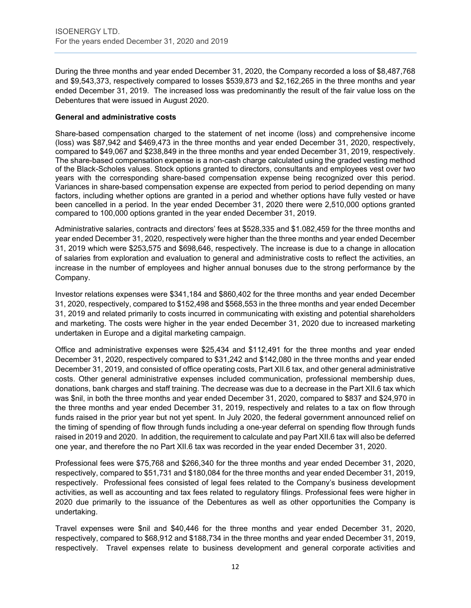During the three months and year ended December 31, 2020, the Company recorded a loss of \$8,487,768 and \$9,543,373, respectively compared to losses \$539,873 and \$2,162,265 in the three months and year ended December 31, 2019. The increased loss was predominantly the result of the fair value loss on the Debentures that were issued in August 2020.

#### **General and administrative costs**

Share-based compensation charged to the statement of net income (loss) and comprehensive income (loss) was \$87,942 and \$469,473 in the three months and year ended December 31, 2020, respectively, compared to \$49,067 and \$238,849 in the three months and year ended December 31, 2019, respectively. The share-based compensation expense is a non-cash charge calculated using the graded vesting method of the Black-Scholes values. Stock options granted to directors, consultants and employees vest over two years with the corresponding share-based compensation expense being recognized over this period. Variances in share-based compensation expense are expected from period to period depending on many factors, including whether options are granted in a period and whether options have fully vested or have been cancelled in a period. In the year ended December 31, 2020 there were 2,510,000 options granted compared to 100,000 options granted in the year ended December 31, 2019.

Administrative salaries, contracts and directors' fees at \$528,335 and \$1.082,459 for the three months and year ended December 31, 2020, respectively were higher than the three months and year ended December 31, 2019 which were \$253,575 and \$698,646, respectively. The increase is due to a change in allocation of salaries from exploration and evaluation to general and administrative costs to reflect the activities, an increase in the number of employees and higher annual bonuses due to the strong performance by the Company.

Investor relations expenses were \$341,184 and \$860,402 for the three months and year ended December 31, 2020, respectively, compared to \$152,498 and \$568,553 in the three months and year ended December 31, 2019 and related primarily to costs incurred in communicating with existing and potential shareholders and marketing. The costs were higher in the year ended December 31, 2020 due to increased marketing undertaken in Europe and a digital marketing campaign.

Office and administrative expenses were \$25,434 and \$112,491 for the three months and year ended December 31, 2020, respectively compared to \$31,242 and \$142,080 in the three months and year ended December 31, 2019, and consisted of office operating costs, Part XII.6 tax, and other general administrative costs. Other general administrative expenses included communication, professional membership dues, donations, bank charges and staff training. The decrease was due to a decrease in the Part XII.6 tax which was \$nil, in both the three months and year ended December 31, 2020, compared to \$837 and \$24,970 in the three months and year ended December 31, 2019, respectively and relates to a tax on flow through funds raised in the prior year but not yet spent. In July 2020, the federal government announced relief on the timing of spending of flow through funds including a one-year deferral on spending flow through funds raised in 2019 and 2020. In addition, the requirement to calculate and pay Part XII.6 tax will also be deferred one year, and therefore the no Part XII.6 tax was recorded in the year ended December 31, 2020.

Professional fees were \$75,768 and \$266,340 for the three months and year ended December 31, 2020, respectively, compared to \$51,731 and \$180,084 for the three months and year ended December 31, 2019, respectively. Professional fees consisted of legal fees related to the Company's business development activities, as well as accounting and tax fees related to regulatory filings. Professional fees were higher in 2020 due primarily to the issuance of the Debentures as well as other opportunities the Company is undertaking.

Travel expenses were \$nil and \$40,446 for the three months and year ended December 31, 2020, respectively, compared to \$68,912 and \$188,734 in the three months and year ended December 31, 2019, respectively. Travel expenses relate to business development and general corporate activities and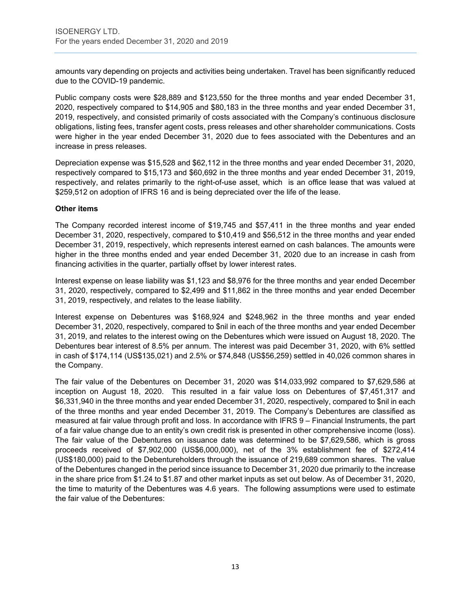amounts vary depending on projects and activities being undertaken. Travel has been significantly reduced due to the COVID-19 pandemic.

Public company costs were \$28,889 and \$123,550 for the three months and year ended December 31, 2020, respectively compared to \$14,905 and \$80,183 in the three months and year ended December 31, 2019, respectively, and consisted primarily of costs associated with the Company's continuous disclosure obligations, listing fees, transfer agent costs, press releases and other shareholder communications. Costs were higher in the year ended December 31, 2020 due to fees associated with the Debentures and an increase in press releases.

Depreciation expense was \$15,528 and \$62,112 in the three months and year ended December 31, 2020, respectively compared to \$15,173 and \$60,692 in the three months and year ended December 31, 2019, respectively, and relates primarily to the right-of-use asset, which is an office lease that was valued at \$259,512 on adoption of IFRS 16 and is being depreciated over the life of the lease.

#### **Other items**

The Company recorded interest income of \$19,745 and \$57,411 in the three months and year ended December 31, 2020, respectively, compared to \$10,419 and \$56,512 in the three months and year ended December 31, 2019, respectively, which represents interest earned on cash balances. The amounts were higher in the three months ended and year ended December 31, 2020 due to an increase in cash from financing activities in the quarter, partially offset by lower interest rates.

Interest expense on lease liability was \$1,123 and \$8,976 for the three months and year ended December 31, 2020, respectively, compared to \$2,499 and \$11,862 in the three months and year ended December 31, 2019, respectively, and relates to the lease liability.

Interest expense on Debentures was \$168,924 and \$248,962 in the three months and year ended December 31, 2020, respectively, compared to \$nil in each of the three months and year ended December 31, 2019, and relates to the interest owing on the Debentures which were issued on August 18, 2020. The Debentures bear interest of 8.5% per annum. The interest was paid December 31, 2020, with 6% settled in cash of \$174,114 (US\$135,021) and 2.5% or \$74,848 (US\$56,259) settled in 40,026 common shares in the Company.

The fair value of the Debentures on December 31, 2020 was \$14,033,992 compared to \$7,629,586 at inception on August 18, 2020. This resulted in a fair value loss on Debentures of \$7,451,317 and \$6,331,940 in the three months and year ended December 31, 2020, respectively, compared to \$nil in each of the three months and year ended December 31, 2019. The Company's Debentures are classified as measured at fair value through profit and loss. In accordance with IFRS 9 – Financial Instruments, the part of a fair value change due to an entity's own credit risk is presented in other comprehensive income (loss). The fair value of the Debentures on issuance date was determined to be \$7,629,586, which is gross proceeds received of \$7,902,000 (US\$6,000,000), net of the 3% establishment fee of \$272,414 (US\$180,000) paid to the Debentureholders through the issuance of 219,689 common shares. The value of the Debentures changed in the period since issuance to December 31, 2020 due primarily to the increase in the share price from \$1.24 to \$1.87 and other market inputs as set out below. As of December 31, 2020, the time to maturity of the Debentures was 4.6 years. The following assumptions were used to estimate the fair value of the Debentures: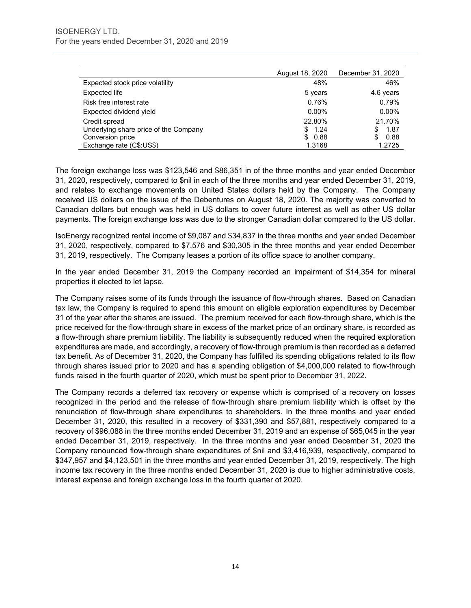|                                       | August 18, 2020 | December 31, 2020 |
|---------------------------------------|-----------------|-------------------|
| Expected stock price volatility       | 48%             | 46%               |
| Expected life                         | 5 years         | 4.6 years         |
| Risk free interest rate               | 0.76%           | 0.79%             |
| Expected dividend yield               | $0.00\%$        | $0.00\%$          |
| Credit spread                         | 22.80%          | 21.70%            |
| Underlying share price of the Company | \$1.24          | 1.87<br>\$.       |
| Conversion price                      | 0.88<br>\$      | 0.88<br>\$        |
| Exchange rate (C\$:US\$)              | 1.3168          | 1.2725            |

The foreign exchange loss was \$123,546 and \$86,351 in of the three months and year ended December 31, 2020, respectively, compared to \$nil in each of the three months and year ended December 31, 2019, and relates to exchange movements on United States dollars held by the Company. The Company received US dollars on the issue of the Debentures on August 18, 2020. The majority was converted to Canadian dollars but enough was held in US dollars to cover future interest as well as other US dollar payments. The foreign exchange loss was due to the stronger Canadian dollar compared to the US dollar.

IsoEnergy recognized rental income of \$9,087 and \$34,837 in the three months and year ended December 31, 2020, respectively, compared to \$7,576 and \$30,305 in the three months and year ended December 31, 2019, respectively. The Company leases a portion of its office space to another company.

In the year ended December 31, 2019 the Company recorded an impairment of \$14,354 for mineral properties it elected to let lapse.

The Company raises some of its funds through the issuance of flow-through shares. Based on Canadian tax law, the Company is required to spend this amount on eligible exploration expenditures by December 31 of the year after the shares are issued. The premium received for each flow-through share, which is the price received for the flow-through share in excess of the market price of an ordinary share, is recorded as a flow-through share premium liability. The liability is subsequently reduced when the required exploration expenditures are made, and accordingly, a recovery of flow-through premium is then recorded as a deferred tax benefit. As of December 31, 2020, the Company has fulfilled its spending obligations related to its flow through shares issued prior to 2020 and has a spending obligation of \$4,000,000 related to flow-through funds raised in the fourth quarter of 2020, which must be spent prior to December 31, 2022.

The Company records a deferred tax recovery or expense which is comprised of a recovery on losses recognized in the period and the release of flow-through share premium liability which is offset by the renunciation of flow-through share expenditures to shareholders. In the three months and year ended December 31, 2020, this resulted in a recovery of \$331,390 and \$57,881, respectively compared to a recovery of \$96,088 in the three months ended December 31, 2019 and an expense of \$65,045 in the year ended December 31, 2019, respectively. In the three months and year ended December 31, 2020 the Company renounced flow-through share expenditures of \$nil and \$3,416,939, respectively, compared to \$347,957 and \$4,123,501 in the three months and year ended December 31, 2019, respectively. The high income tax recovery in the three months ended December 31, 2020 is due to higher administrative costs, interest expense and foreign exchange loss in the fourth quarter of 2020.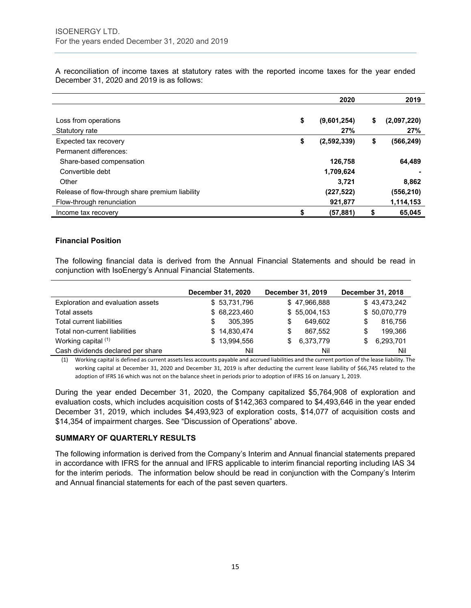|                                                 | 2020              | 2019              |
|-------------------------------------------------|-------------------|-------------------|
|                                                 |                   |                   |
| Loss from operations                            | \$<br>(9,601,254) | \$<br>(2,097,220) |
| Statutory rate                                  | 27%               | 27%               |
| Expected tax recovery                           | \$<br>(2,592,339) | \$<br>(566, 249)  |
| Permanent differences:                          |                   |                   |
| Share-based compensation                        | 126,758           | 64,489            |
| Convertible debt                                | 1,709,624         |                   |
| Other                                           | 3.721             | 8,862             |
| Release of flow-through share premium liability | (227, 522)        | (556,210)         |
| Flow-through renunciation                       | 921,877           | 1,114,153         |
| Income tax recovery                             | \$<br>(57, 881)   | \$<br>65,045      |

A reconciliation of income taxes at statutory rates with the reported income taxes for the year ended December 31, 2020 and 2019 is as follows:

# **Financial Position**

The following financial data is derived from the Annual Financial Statements and should be read in conjunction with IsoEnergy's Annual Financial Statements.

|                                   | December 31, 2020 |     | December 31, 2019 |    | December 31, 2018 |
|-----------------------------------|-------------------|-----|-------------------|----|-------------------|
| Exploration and evaluation assets | \$53,731,796      |     | \$47,966,888      |    | \$43,473,242      |
| <b>Total assets</b>               | \$68,223,460      |     | \$55,004,153      |    | \$50,070,779      |
| Total current liabilities         | 305.395<br>S      | S   | 649.602           | S  | 816,756           |
| Total non-current liabilities     | \$14,830,474      | S   | 867.552           | S  | 199,366           |
| Working capital (1)               | \$13,994,556      | S.  | 6,373,779         | \$ | 6,293,701         |
| Cash dividends declared per share |                   | Nil | Nil               |    | Nil               |

(1) Working capital is defined as current assets less accounts payable and accrued liabilities and the current portion of the lease liability. The working capital at December 31, 2020 and December 31, 2019 is after deducting the current lease liability of \$66,745 related to the adoption of IFRS 16 which was not on the balance sheet in periods prior to adoption of IFRS 16 on January 1, 2019.

During the year ended December 31, 2020, the Company capitalized \$5,764,908 of exploration and evaluation costs, which includes acquisition costs of \$142,363 compared to \$4,493,646 in the year ended December 31, 2019, which includes \$4,493,923 of exploration costs, \$14,077 of acquisition costs and \$14,354 of impairment charges. See "Discussion of Operations" above.

#### **SUMMARY OF QUARTERLY RESULTS**

The following information is derived from the Company's Interim and Annual financial statements prepared in accordance with IFRS for the annual and IFRS applicable to interim financial reporting including IAS 34 for the interim periods. The information below should be read in conjunction with the Company's Interim and Annual financial statements for each of the past seven quarters.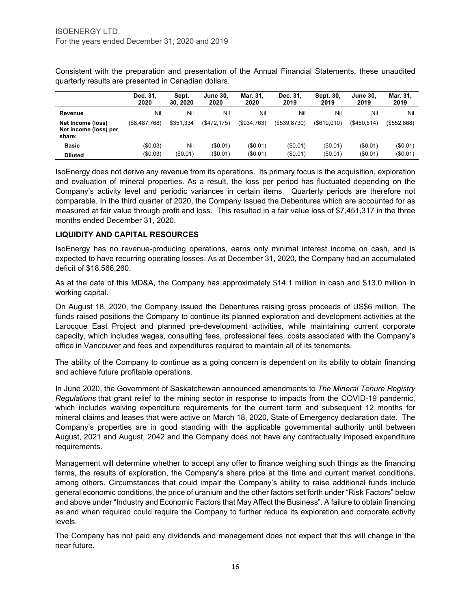|                                                      | Dec. 31,<br>2020 | Sept.<br>30, 2020 | <b>June 30.</b><br>2020 | Mar. 31.<br>2020 | Dec. 31.<br>2019 | Sept. 30,<br>2019 | <b>June 30.</b><br>2019 | Mar. 31.<br>2019 |
|------------------------------------------------------|------------------|-------------------|-------------------------|------------------|------------------|-------------------|-------------------------|------------------|
| Revenue                                              | Nil              | Nil               | Nil                     | Nil              | Nil              | Nil               | Nil                     | Nil              |
| Net Income (loss)<br>Net income (loss) per<br>share: | (\$8,487,768)    | \$351.334         | (S472.175)              | (\$934,763)      | ( \$539, 8730)   | $($ \$619.010)    | $($ \$450.514 $)$       | (\$552,868)      |
| <b>Basic</b>                                         | (\$0.03)         | Nil               | (\$0.01)                | (\$0.01)         | (\$0.01)         | (\$0.01)          | (\$0.01)                | $(\$0.01)$       |
| <b>Diluted</b>                                       | (\$0.03)         | (\$0.01)          | (\$0.01)                | (\$0.01)         | (\$0.01)         | (\$0.01)          | (\$0.01)                | (\$0.01)         |

Consistent with the preparation and presentation of the Annual Financial Statements, these unaudited quarterly results are presented in Canadian dollars.

IsoEnergy does not derive any revenue from its operations. Its primary focus is the acquisition, exploration and evaluation of mineral properties. As a result, the loss per period has fluctuated depending on the Company's activity level and periodic variances in certain items. Quarterly periods are therefore not comparable. In the third quarter of 2020, the Company issued the Debentures which are accounted for as measured at fair value through profit and loss. This resulted in a fair value loss of \$7,451,317 in the three months ended December 31, 2020.

#### **LIQUIDITY AND CAPITAL RESOURCES**

IsoEnergy has no revenue-producing operations, earns only minimal interest income on cash, and is expected to have recurring operating losses. As at December 31, 2020, the Company had an accumulated deficit of \$18,566,260.

As at the date of this MD&A, the Company has approximately \$14.1 million in cash and \$13.0 million in working capital.

On August 18, 2020, the Company issued the Debentures raising gross proceeds of US\$6 million. The funds raised positions the Company to continue its planned exploration and development activities at the Larocque East Project and planned pre-development activities, while maintaining current corporate capacity, which includes wages, consulting fees, professional fees, costs associated with the Company's office in Vancouver and fees and expenditures required to maintain all of its tenements.

The ability of the Company to continue as a going concern is dependent on its ability to obtain financing and achieve future profitable operations.

In June 2020, the Government of Saskatchewan announced amendments to *The Mineral Tenure Registry Regulations* that grant relief to the mining sector in response to impacts from the COVID-19 pandemic, which includes waiving expenditure requirements for the current term and subsequent 12 months for mineral claims and leases that were active on March 18, 2020, State of Emergency declaration date. The Company's properties are in good standing with the applicable governmental authority until between August, 2021 and August, 2042 and the Company does not have any contractually imposed expenditure requirements.

Management will determine whether to accept any offer to finance weighing such things as the financing terms, the results of exploration, the Company's share price at the time and current market conditions, among others. Circumstances that could impair the Company's ability to raise additional funds include general economic conditions, the price of uranium and the other factors set forth under "Risk Factors" below and above under "Industry and Economic Factors that May Affect the Business". A failure to obtain financing as and when required could require the Company to further reduce its exploration and corporate activity levels.

The Company has not paid any dividends and management does not expect that this will change in the near future.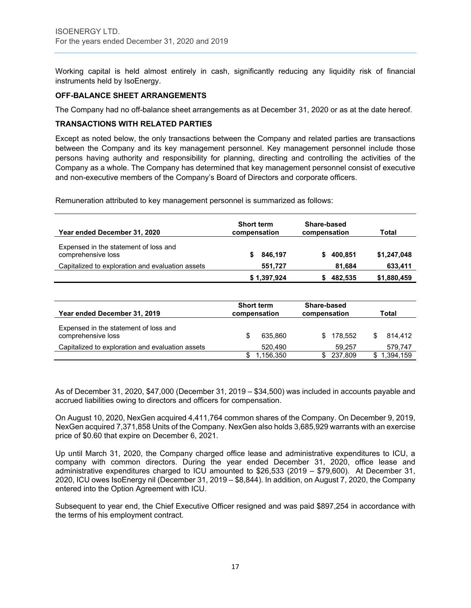Working capital is held almost entirely in cash, significantly reducing any liquidity risk of financial instruments held by IsoEnergy.

#### **OFF-BALANCE SHEET ARRANGEMENTS**

The Company had no off-balance sheet arrangements as at December 31, 2020 or as at the date hereof.

#### **TRANSACTIONS WITH RELATED PARTIES**

Except as noted below, the only transactions between the Company and related parties are transactions between the Company and its key management personnel. Key management personnel include those persons having authority and responsibility for planning, directing and controlling the activities of the Company as a whole. The Company has determined that key management personnel consist of executive and non-executive members of the Company's Board of Directors and corporate officers.

Remuneration attributed to key management personnel is summarized as follows:

| Year ended December 31, 2020                                | <b>Short term</b><br>compensation | Share-based<br>compensation | Total       |
|-------------------------------------------------------------|-----------------------------------|-----------------------------|-------------|
| Expensed in the statement of loss and<br>comprehensive loss | 846,197                           | 400.851<br>s.               | \$1,247,048 |
| Capitalized to exploration and evaluation assets            | 551.727                           | 81.684                      | 633,411     |
|                                                             | \$1,397,924                       | 482,535                     | \$1,880,459 |

| Year ended December 31, 2019                                | <b>Short term</b><br>compensation | Share-based<br>compensation |         | Total     |
|-------------------------------------------------------------|-----------------------------------|-----------------------------|---------|-----------|
| Expensed in the statement of loss and<br>comprehensive loss | 635.860                           | \$.                         | 178.552 | 814.412   |
| Capitalized to exploration and evaluation assets            | 520.490                           |                             | 59.257  | 579,747   |
|                                                             | 1,156,350                         |                             | 237,809 | 1,394,159 |

As of December 31, 2020, \$47,000 (December 31, 2019 – \$34,500) was included in accounts payable and accrued liabilities owing to directors and officers for compensation.

On August 10, 2020, NexGen acquired 4,411,764 common shares of the Company. On December 9, 2019, NexGen acquired 7,371,858 Units of the Company. NexGen also holds 3,685,929 warrants with an exercise price of \$0.60 that expire on December 6, 2021.

Up until March 31, 2020, the Company charged office lease and administrative expenditures to ICU, a company with common directors. During the year ended December 31, 2020, office lease and administrative expenditures charged to ICU amounted to \$26,533 (2019 – \$79,600). At December 31, 2020, ICU owes IsoEnergy nil (December 31, 2019 – \$8,844). In addition, on August 7, 2020, the Company entered into the Option Agreement with ICU.

Subsequent to year end, the Chief Executive Officer resigned and was paid \$897,254 in accordance with the terms of his employment contract.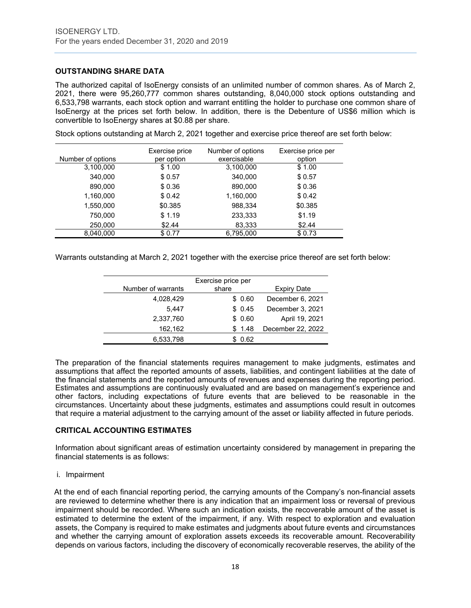# **OUTSTANDING SHARE DATA**

The authorized capital of IsoEnergy consists of an unlimited number of common shares. As of March 2, 2021, there were 95,260,777 common shares outstanding, 8,040,000 stock options outstanding and 6,533,798 warrants, each stock option and warrant entitling the holder to purchase one common share of IsoEnergy at the prices set forth below. In addition, there is the Debenture of US\$6 million which is convertible to IsoEnergy shares at \$0.88 per share.

Stock options outstanding at March 2, 2021 together and exercise price thereof are set forth below:

| Number of options | Exercise price<br>per option | Number of options<br>exercisable | Exercise price per<br>option |
|-------------------|------------------------------|----------------------------------|------------------------------|
| 3,100,000         | \$1.00                       | 3,100,000                        | \$1.00                       |
| 340,000           | \$0.57                       | 340,000                          | \$0.57                       |
| 890,000           | \$0.36                       | 890,000                          | \$0.36                       |
| 1,160,000         | \$0.42                       | 1,160,000                        | \$0.42                       |
| 1,550,000         | \$0.385                      | 988,334                          | \$0.385                      |
| 750,000           | \$1.19                       | 233,333                          | \$1.19                       |
| 250,000           | \$2.44                       | 83,333                           | \$2.44                       |
| 8.040.000         | \$0.77                       | 6.795.000                        | \$0.73                       |

Warrants outstanding at March 2, 2021 together with the exercise price thereof are set forth below:

|                    | Exercise price per |                   |
|--------------------|--------------------|-------------------|
| Number of warrants | share              | Expiry Date       |
| 4,028,429          | \$0.60             | December 6, 2021  |
| 5.447              | \$0.45             | December 3, 2021  |
| 2,337,760          | \$0.60             | April 19, 2021    |
| 162,162            | \$1.48             | December 22, 2022 |
| 6,533,798          | 0.62               |                   |

The preparation of the financial statements requires management to make judgments, estimates and assumptions that affect the reported amounts of assets, liabilities, and contingent liabilities at the date of the financial statements and the reported amounts of revenues and expenses during the reporting period. Estimates and assumptions are continuously evaluated and are based on management's experience and other factors, including expectations of future events that are believed to be reasonable in the circumstances. Uncertainty about these judgments, estimates and assumptions could result in outcomes that require a material adjustment to the carrying amount of the asset or liability affected in future periods.

# **CRITICAL ACCOUNTING ESTIMATES**

Information about significant areas of estimation uncertainty considered by management in preparing the financial statements is as follows:

i. Impairment

At the end of each financial reporting period, the carrying amounts of the Company's non-financial assets are reviewed to determine whether there is any indication that an impairment loss or reversal of previous impairment should be recorded. Where such an indication exists, the recoverable amount of the asset is estimated to determine the extent of the impairment, if any. With respect to exploration and evaluation assets, the Company is required to make estimates and judgments about future events and circumstances and whether the carrying amount of exploration assets exceeds its recoverable amount. Recoverability depends on various factors, including the discovery of economically recoverable reserves, the ability of the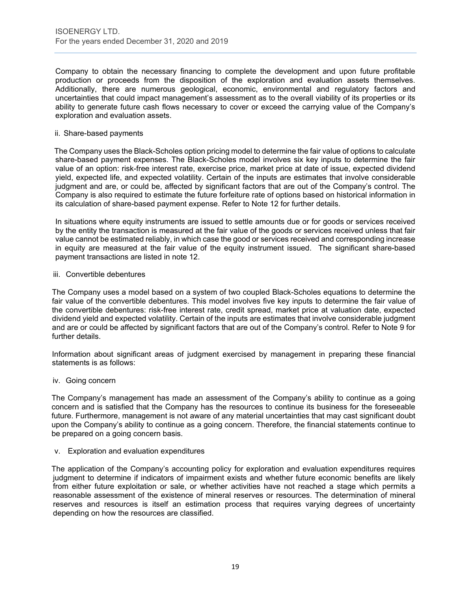Company to obtain the necessary financing to complete the development and upon future profitable production or proceeds from the disposition of the exploration and evaluation assets themselves. Additionally, there are numerous geological, economic, environmental and regulatory factors and uncertainties that could impact management's assessment as to the overall viability of its properties or its ability to generate future cash flows necessary to cover or exceed the carrying value of the Company's exploration and evaluation assets.

#### ii. Share-based payments

The Company uses the Black-Scholes option pricing model to determine the fair value of options to calculate share-based payment expenses. The Black-Scholes model involves six key inputs to determine the fair value of an option: risk-free interest rate, exercise price, market price at date of issue, expected dividend yield, expected life, and expected volatility. Certain of the inputs are estimates that involve considerable judgment and are, or could be, affected by significant factors that are out of the Company's control. The Company is also required to estimate the future forfeiture rate of options based on historical information in its calculation of share-based payment expense. Refer to Note 12 for further details.

In situations where equity instruments are issued to settle amounts due or for goods or services received by the entity the transaction is measured at the fair value of the goods or services received unless that fair value cannot be estimated reliably, in which case the good or services received and corresponding increase in equity are measured at the fair value of the equity instrument issued. The significant share-based payment transactions are listed in note 12.

#### iii. Convertible debentures

The Company uses a model based on a system of two coupled Black-Scholes equations to determine the fair value of the convertible debentures. This model involves five key inputs to determine the fair value of the convertible debentures: risk-free interest rate, credit spread, market price at valuation date, expected dividend yield and expected volatility. Certain of the inputs are estimates that involve considerable judgment and are or could be affected by significant factors that are out of the Company's control. Refer to Note 9 for further details.

Information about significant areas of judgment exercised by management in preparing these financial statements is as follows:

#### iv. Going concern

The Company's management has made an assessment of the Company's ability to continue as a going concern and is satisfied that the Company has the resources to continue its business for the foreseeable future. Furthermore, management is not aware of any material uncertainties that may cast significant doubt upon the Company's ability to continue as a going concern. Therefore, the financial statements continue to be prepared on a going concern basis.

#### v. Exploration and evaluation expenditures

The application of the Company's accounting policy for exploration and evaluation expenditures requires judgment to determine if indicators of impairment exists and whether future economic benefits are likely from either future exploitation or sale, or whether activities have not reached a stage which permits a reasonable assessment of the existence of mineral reserves or resources. The determination of mineral reserves and resources is itself an estimation process that requires varying degrees of uncertainty depending on how the resources are classified.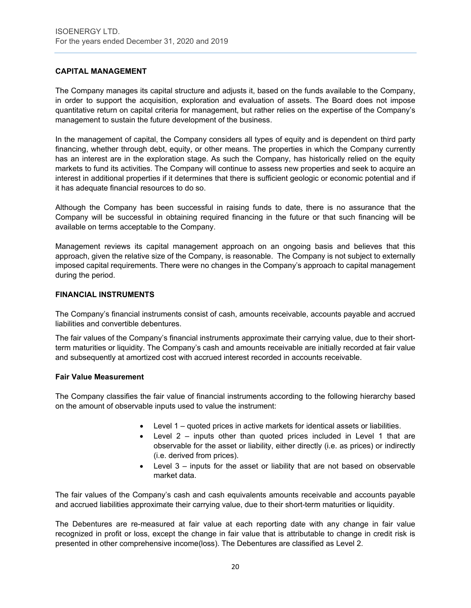# **CAPITAL MANAGEMENT**

The Company manages its capital structure and adjusts it, based on the funds available to the Company, in order to support the acquisition, exploration and evaluation of assets. The Board does not impose quantitative return on capital criteria for management, but rather relies on the expertise of the Company's management to sustain the future development of the business.

In the management of capital, the Company considers all types of equity and is dependent on third party financing, whether through debt, equity, or other means. The properties in which the Company currently has an interest are in the exploration stage. As such the Company, has historically relied on the equity markets to fund its activities. The Company will continue to assess new properties and seek to acquire an interest in additional properties if it determines that there is sufficient geologic or economic potential and if it has adequate financial resources to do so.

Although the Company has been successful in raising funds to date, there is no assurance that the Company will be successful in obtaining required financing in the future or that such financing will be available on terms acceptable to the Company.

Management reviews its capital management approach on an ongoing basis and believes that this approach, given the relative size of the Company, is reasonable. The Company is not subject to externally imposed capital requirements. There were no changes in the Company's approach to capital management during the period.

#### **FINANCIAL INSTRUMENTS**

The Company's financial instruments consist of cash, amounts receivable, accounts payable and accrued liabilities and convertible debentures.

The fair values of the Company's financial instruments approximate their carrying value, due to their shortterm maturities or liquidity. The Company's cash and amounts receivable are initially recorded at fair value and subsequently at amortized cost with accrued interest recorded in accounts receivable.

#### **Fair Value Measurement**

The Company classifies the fair value of financial instruments according to the following hierarchy based on the amount of observable inputs used to value the instrument:

- Level 1 quoted prices in active markets for identical assets or liabilities.
- Level 2 inputs other than quoted prices included in Level 1 that are observable for the asset or liability, either directly (i.e. as prices) or indirectly (i.e. derived from prices).
- Level 3 inputs for the asset or liability that are not based on observable market data.

The fair values of the Company's cash and cash equivalents amounts receivable and accounts payable and accrued liabilities approximate their carrying value, due to their short-term maturities or liquidity.

The Debentures are re-measured at fair value at each reporting date with any change in fair value recognized in profit or loss, except the change in fair value that is attributable to change in credit risk is presented in other comprehensive income(loss). The Debentures are classified as Level 2.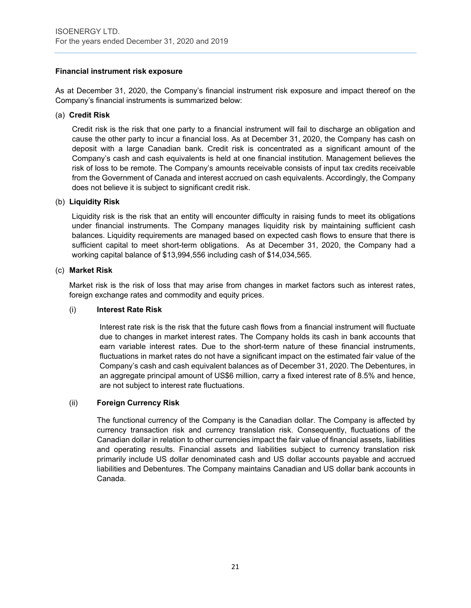# **Financial instrument risk exposure**

As at December 31, 2020, the Company's financial instrument risk exposure and impact thereof on the Company's financial instruments is summarized below:

#### (a) **Credit Risk**

Credit risk is the risk that one party to a financial instrument will fail to discharge an obligation and cause the other party to incur a financial loss. As at December 31, 2020, the Company has cash on deposit with a large Canadian bank. Credit risk is concentrated as a significant amount of the Company's cash and cash equivalents is held at one financial institution. Management believes the risk of loss to be remote. The Company's amounts receivable consists of input tax credits receivable from the Government of Canada and interest accrued on cash equivalents. Accordingly, the Company does not believe it is subject to significant credit risk.

#### (b) **Liquidity Risk**

Liquidity risk is the risk that an entity will encounter difficulty in raising funds to meet its obligations under financial instruments. The Company manages liquidity risk by maintaining sufficient cash balances. Liquidity requirements are managed based on expected cash flows to ensure that there is sufficient capital to meet short-term obligations. As at December 31, 2020, the Company had a working capital balance of \$13,994,556 including cash of \$14,034,565.

#### (c) **Market Risk**

Market risk is the risk of loss that may arise from changes in market factors such as interest rates, foreign exchange rates and commodity and equity prices.

#### (i) **Interest Rate Risk**

Interest rate risk is the risk that the future cash flows from a financial instrument will fluctuate due to changes in market interest rates. The Company holds its cash in bank accounts that earn variable interest rates. Due to the short-term nature of these financial instruments, fluctuations in market rates do not have a significant impact on the estimated fair value of the Company's cash and cash equivalent balances as of December 31, 2020. The Debentures, in an aggregate principal amount of US\$6 million, carry a fixed interest rate of 8.5% and hence, are not subject to interest rate fluctuations.

# (ii) **Foreign Currency Risk**

The functional currency of the Company is the Canadian dollar. The Company is affected by currency transaction risk and currency translation risk. Consequently, fluctuations of the Canadian dollar in relation to other currencies impact the fair value of financial assets, liabilities and operating results. Financial assets and liabilities subject to currency translation risk primarily include US dollar denominated cash and US dollar accounts payable and accrued liabilities and Debentures. The Company maintains Canadian and US dollar bank accounts in Canada.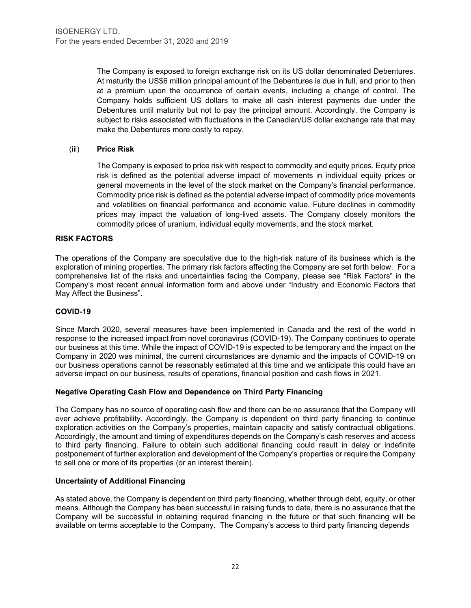The Company is exposed to foreign exchange risk on its US dollar denominated Debentures. At maturity the US\$6 million principal amount of the Debentures is due in full, and prior to then at a premium upon the occurrence of certain events, including a change of control. The Company holds sufficient US dollars to make all cash interest payments due under the Debentures until maturity but not to pay the principal amount. Accordingly, the Company is subject to risks associated with fluctuations in the Canadian/US dollar exchange rate that may make the Debentures more costly to repay.

# (iii) **Price Risk**

The Company is exposed to price risk with respect to commodity and equity prices. Equity price risk is defined as the potential adverse impact of movements in individual equity prices or general movements in the level of the stock market on the Company's financial performance. Commodity price risk is defined as the potential adverse impact of commodity price movements and volatilities on financial performance and economic value. Future declines in commodity prices may impact the valuation of long-lived assets. The Company closely monitors the commodity prices of uranium, individual equity movements, and the stock market.

#### **RISK FACTORS**

The operations of the Company are speculative due to the high-risk nature of its business which is the exploration of mining properties. The primary risk factors affecting the Company are set forth below. For a comprehensive list of the risks and uncertainties facing the Company, please see "Risk Factors" in the Company's most recent annual information form and above under "Industry and Economic Factors that May Affect the Business".

#### **COVID-19**

Since March 2020, several measures have been implemented in Canada and the rest of the world in response to the increased impact from novel coronavirus (COVID-19). The Company continues to operate our business at this time. While the impact of COVID-19 is expected to be temporary and the impact on the Company in 2020 was minimal, the current circumstances are dynamic and the impacts of COVID-19 on our business operations cannot be reasonably estimated at this time and we anticipate this could have an adverse impact on our business, results of operations, financial position and cash flows in 2021.

#### **Negative Operating Cash Flow and Dependence on Third Party Financing**

The Company has no source of operating cash flow and there can be no assurance that the Company will ever achieve profitability. Accordingly, the Company is dependent on third party financing to continue exploration activities on the Company's properties, maintain capacity and satisfy contractual obligations. Accordingly, the amount and timing of expenditures depends on the Company's cash reserves and access to third party financing. Failure to obtain such additional financing could result in delay or indefinite postponement of further exploration and development of the Company's properties or require the Company to sell one or more of its properties (or an interest therein).

# **Uncertainty of Additional Financing**

As stated above, the Company is dependent on third party financing, whether through debt, equity, or other means. Although the Company has been successful in raising funds to date, there is no assurance that the Company will be successful in obtaining required financing in the future or that such financing will be available on terms acceptable to the Company. The Company's access to third party financing depends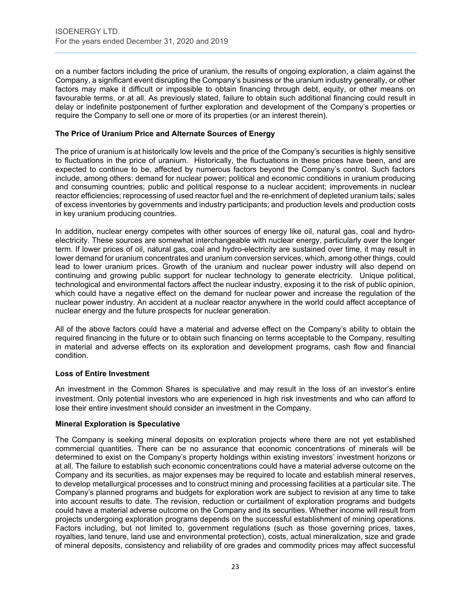on a number factors including the price of uranium, the results of ongoing exploration, a claim against the Company, a significant event disrupting the Company's business or the uranium industry generally, or other factors may make it difficult or impossible to obtain financing through debt, equity, or other means on favourable terms, or at all. As previously stated, failure to obtain such additional financing could result in delay or indefinite postponement of further exploration and development of the Company's properties or require the Company to sell one or more of its properties (or an interest therein).

#### **The Price of Uranium Price and Alternate Sources of Energy**

The price of uranium is at historically low levels and the price of the Company's securities is highly sensitive to fluctuations in the price of uranium. Historically, the fluctuations in these prices have been, and are expected to continue to be, affected by numerous factors beyond the Company's control. Such factors include, among others: demand for nuclear power; political and economic conditions in uranium producing and consuming countries; public and political response to a nuclear accident; improvements in nuclear reactor efficiencies; reprocessing of used reactor fuel and the re-enrichment of depleted uranium tails; sales of excess inventories by governments and industry participants; and production levels and production costs in key uranium producing countries.

In addition, nuclear energy competes with other sources of energy like oil, natural gas, coal and hydroelectricity. These sources are somewhat interchangeable with nuclear energy, particularly over the longer term. If lower prices of oil, natural gas, coal and hydro-electricity are sustained over time, it may result in lower demand for uranium concentrates and uranium conversion services, which, among other things, could lead to lower uranium prices. Growth of the uranium and nuclear power industry will also depend on continuing and growing public support for nuclear technology to generate electricity. Unique political, technological and environmental factors affect the nuclear industry, exposing it to the risk of public opinion, which could have a negative effect on the demand for nuclear power and increase the regulation of the nuclear power industry. An accident at a nuclear reactor anywhere in the world could affect acceptance of nuclear energy and the future prospects for nuclear generation.

All of the above factors could have a material and adverse effect on the Company's ability to obtain the required financing in the future or to obtain such financing on terms acceptable to the Company, resulting in material and adverse effects on its exploration and development programs, cash flow and financial condition.

#### **Loss of Entire Investment**

An investment in the Common Shares is speculative and may result in the loss of an investor's entire investment. Only potential investors who are experienced in high risk investments and who can afford to lose their entire investment should consider an investment in the Company.

#### **Mineral Exploration is Speculative**

The Company is seeking mineral deposits on exploration projects where there are not yet established commercial quantities. There can be no assurance that economic concentrations of minerals will be determined to exist on the Company's property holdings within existing investors' investment horizons or at all. The failure to establish such economic concentrations could have a material adverse outcome on the Company and its securities, as major expenses may be required to locate and establish mineral reserves, to develop metallurgical processes and to construct mining and processing facilities at a particular site. The Company's planned programs and budgets for exploration work are subject to revision at any time to take into account results to date. The revision, reduction or curtailment of exploration programs and budgets could have a material adverse outcome on the Company and its securities. Whether income will result from projects undergoing exploration programs depends on the successful establishment of mining operations. Factors including, but not limited to, government regulations (such as those governing prices, taxes, royalties, land tenure, land use and environmental protection), costs, actual mineralization, size and grade of mineral deposits, consistency and reliability of ore grades and commodity prices may affect successful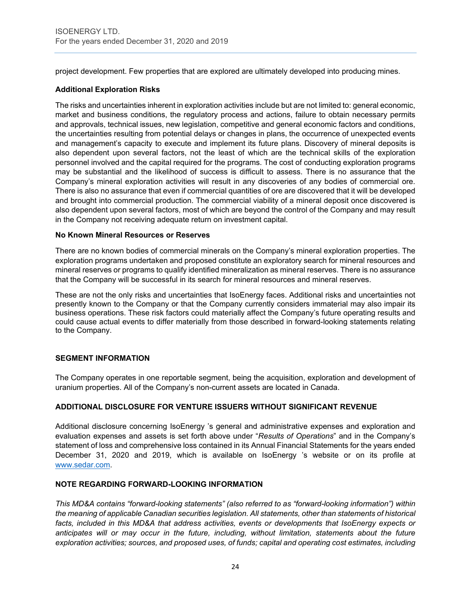project development. Few properties that are explored are ultimately developed into producing mines.

# **Additional Exploration Risks**

The risks and uncertainties inherent in exploration activities include but are not limited to: general economic, market and business conditions, the regulatory process and actions, failure to obtain necessary permits and approvals, technical issues, new legislation, competitive and general economic factors and conditions, the uncertainties resulting from potential delays or changes in plans, the occurrence of unexpected events and management's capacity to execute and implement its future plans. Discovery of mineral deposits is also dependent upon several factors, not the least of which are the technical skills of the exploration personnel involved and the capital required for the programs. The cost of conducting exploration programs may be substantial and the likelihood of success is difficult to assess. There is no assurance that the Company's mineral exploration activities will result in any discoveries of any bodies of commercial ore. There is also no assurance that even if commercial quantities of ore are discovered that it will be developed and brought into commercial production. The commercial viability of a mineral deposit once discovered is also dependent upon several factors, most of which are beyond the control of the Company and may result in the Company not receiving adequate return on investment capital.

#### **No Known Mineral Resources or Reserves**

There are no known bodies of commercial minerals on the Company's mineral exploration properties. The exploration programs undertaken and proposed constitute an exploratory search for mineral resources and mineral reserves or programs to qualify identified mineralization as mineral reserves. There is no assurance that the Company will be successful in its search for mineral resources and mineral reserves.

These are not the only risks and uncertainties that IsoEnergy faces. Additional risks and uncertainties not presently known to the Company or that the Company currently considers immaterial may also impair its business operations. These risk factors could materially affect the Company's future operating results and could cause actual events to differ materially from those described in forward-looking statements relating to the Company.

# **SEGMENT INFORMATION**

The Company operates in one reportable segment, being the acquisition, exploration and development of uranium properties. All of the Company's non-current assets are located in Canada.

# **ADDITIONAL DISCLOSURE FOR VENTURE ISSUERS WITHOUT SIGNIFICANT REVENUE**

Additional disclosure concerning IsoEnergy 's general and administrative expenses and exploration and evaluation expenses and assets is set forth above under "*Results of Operations*" and in the Company's statement of loss and comprehensive loss contained in its Annual Financial Statements for the years ended December 31, 2020 and 2019, which is available on IsoEnergy 's website or on its profile at [www.sedar.com.](http://www.sedar.com/)

#### **NOTE REGARDING FORWARD-LOOKING INFORMATION**

*This MD&A contains "forward-looking statements" (also referred to as "forward-looking information") within the meaning of applicable Canadian securities legislation. All statements, other than statements of historical*  facts, included in this MD&A that address activities, events or developments that IsoEnergy expects or anticipates will or may occur in the future, including, without limitation, statements about the future *exploration activities; sources, and proposed uses, of funds; capital and operating cost estimates, including*